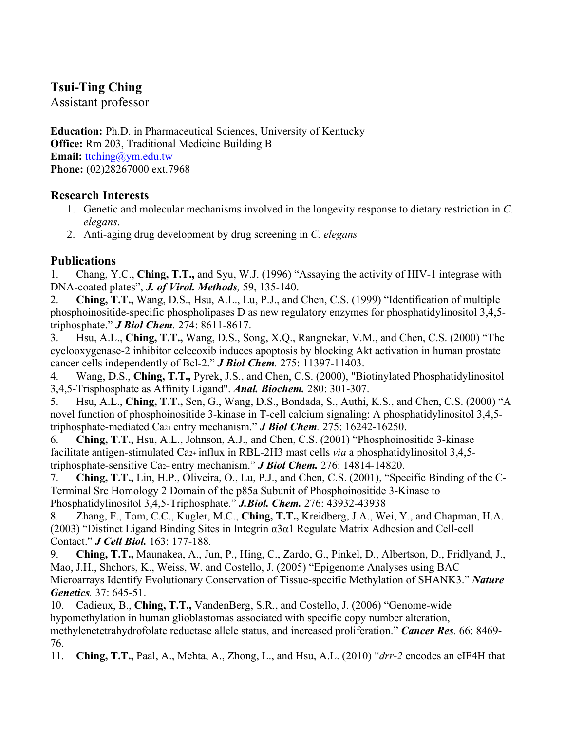## **Tsui-Ting Ching**

Assistant professor

**Education:** Ph.D. in Pharmaceutical Sciences, University of Kentucky **Office:** Rm 203, Traditional Medicine Building B **Email:** ttching@ym.edu.tw **Phone:** (02)28267000 ext.7968

## **Research Interests**

- 1. Genetic and molecular mechanisms involved in the longevity response to dietary restriction in *C. elegans*.
- 2. Anti-aging drug development by drug screening in *C. elegans*

## **Publications**

1. Chang, Y.C., **Ching, T.T.,** and Syu, W.J. (1996) "Assaying the activity of HIV-1 integrase with DNA-coated plates", *J. of Virol. Methods,* 59, 135-140.

2. **Ching, T.T.,** Wang, D.S., Hsu, A.L., Lu, P.J., and Chen, C.S. (1999) "Identification of multiple phosphoinositide-specific phospholipases D as new regulatory enzymes for phosphatidylinositol 3,4,5 triphosphate." *J Biol Chem.* 274: 8611-8617.

3. Hsu, A.L., **Ching, T.T.,** Wang, D.S., Song, X.Q., Rangnekar, V.M., and Chen, C.S. (2000) "The cyclooxygenase-2 inhibitor celecoxib induces apoptosis by blocking Akt activation in human prostate cancer cells independently of Bcl-2." *J Biol Chem.* 275: 11397-11403.

4. Wang, D.S., **Ching, T.T.,** Pyrek, J.S., and Chen, C.S. (2000), "Biotinylated Phosphatidylinositol 3,4,5-Trisphosphate as Affinity Ligand". *Anal. Biochem.* 280: 301-307.

5. Hsu, A.L., **Ching, T.T.,** Sen, G., Wang, D.S., Bondada, S., Authi, K.S., and Chen, C.S. (2000) "A novel function of phosphoinositide 3-kinase in T-cell calcium signaling: A phosphatidylinositol 3,4,5 triphosphate-mediated Ca2+ entry mechanism." *J Biol Chem.* 275: 16242-16250.

6. **Ching, T.T.,** Hsu, A.L., Johnson, A.J., and Chen, C.S. (2001) "Phosphoinositide 3-kinase facilitate antigen-stimulated Ca2+ influx in RBL-2H3 mast cells *via* a phosphatidylinositol 3,4,5 triphosphate-sensitive Ca2+ entry mechanism." *J Biol Chem.* 276: 14814-14820.

7. **Ching, T.T.,** Lin, H.P., Oliveira, O., Lu, P.J., and Chen, C.S. (2001), "Specific Binding of the C-Terminal Src Homology 2 Domain of the p85a Subunit of Phosphoinositide 3-Kinase to Phosphatidylinositol 3,4,5-Triphosphate." *J.Biol. Chem.* 276: 43932-43938

8. Zhang, F., Tom, C.C., Kugler, M.C., **Ching, T.T.,** Kreidberg, J.A., Wei, Y., and Chapman, H.A. (2003) "Distinct Ligand Binding Sites in Integrin α3α1 Regulate Matrix Adhesion and Cell-cell Contact." *J Cell Biol.* 163: 177-188*.*

9. **Ching, T.T.,** Maunakea, A., Jun, P., Hing, C., Zardo, G., Pinkel, D., Albertson, D., Fridlyand, J., Mao, J.H., Shchors, K., Weiss, W. and Costello, J. (2005) "Epigenome Analyses using BAC Microarrays Identify Evolutionary Conservation of Tissue-specific Methylation of SHANK3." *Nature Genetics.* 37: 645-51.

10. Cadieux, B., **Ching, T.T.,** VandenBerg, S.R., and Costello, J. (2006) "Genome-wide hypomethylation in human glioblastomas associated with specific copy number alteration, methylenetetrahydrofolate reductase allele status, and increased proliferation." *Cancer Res.* 66: 8469- 76.

11. **Ching, T.T.,** Paal, A., Mehta, A., Zhong, L., and Hsu, A.L. (2010) "*drr-2* encodes an eIF4H that